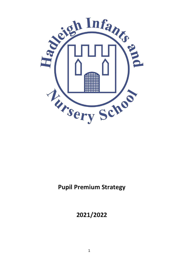

# **Pupil Premium Strategy**

# **2021/2022**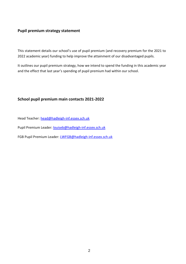#### **Pupil premium strategy statement**

This statement details our school's use of pupil premium (and recovery premium for the 2021 to 2022 academic year) funding to help improve the attainment of our disadvantaged pupils.

It outlines our pupil premium strategy, how we intend to spend the funding in this academic year and the effect that last year's spending of pupil premium had within our school.

#### **School pupil premium main contacts 2021-2022**

Head Teacher: [head@hadleigh-inf.essex.sch.uk](mailto:head@hadleigh-inf.essex.sch.uk)

Pupil Premium Leader: [louiseb@hadleigh-inf.essex.sch.uk](mailto:louiseb@hadleigh-inf.essex.sch.uk)

FGB Pupil Premium Leader: [LWFGB@hadleigh-inf.essex.sch.uk](mailto:LWFGB@hadleigh-inf.essex.sch.uk)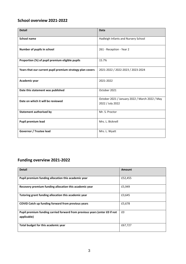## **School overview 2021-2022**

| <b>Detail</b>                                             | <b>Data</b>                                                        |
|-----------------------------------------------------------|--------------------------------------------------------------------|
| <b>School name</b>                                        | Hadleigh Infants and Nursery School                                |
| Number of pupils in school                                | 261 - Reception - Year 2                                           |
| Proportion (%) of pupil premium eligible pupils           | 15.7%                                                              |
| Years that our current pupil premium strategy plan covers | 2021-2022 / 2022-2023 / 2023-2024                                  |
| Academic year                                             | 2021-2022                                                          |
| Date this statement was published                         | October 2021                                                       |
| Date on which it will be reviewed                         | October 2021 / January 2022 / March 2022 / May<br>2022 / July 2022 |
| <b>Statement authorised by</b>                            | Mr. S. Proctor                                                     |
| <b>Pupil premium lead</b>                                 | Mrs. L. Bicknell                                                   |
| Governor / Trustee lead                                   | Mrs. L. Wyatt                                                      |

## **Funding overview 2021-2022**

| <b>Detail</b>                                                                             | Amount  |
|-------------------------------------------------------------------------------------------|---------|
| Pupil premium funding allocation this academic year                                       | £52,455 |
| Recovery premium funding allocation this academic year                                    | £5,949  |
| Tutoring grant funding allocation this academic year                                      | £3,645  |
| COVID Catch up funding forward from previous years                                        | £5,678  |
| Pupil premium funding carried forward from previous years (enter £0 if not<br>applicable) | £0      |
| Total budget for this academic year                                                       | £67,727 |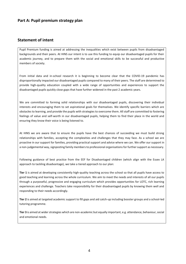#### **Part A: Pupil premium strategy plan**

#### **Statement of intent**

Pupil Premium funding is aimed at addressing the inequalities which exist between pupils from disadvantaged backgrounds and their peers. At HINS our intent is to use this funding to equip our disadvantaged pupils for their academic journey, and to prepare them with the social and emotional skills to be successful and productive members of society.

From initial data and in-school research it is beginning to become clear that the COVID-19 pandemic has disproportionally impacted our disadvantaged pupils compared to many of their peers. The staff are determined to provide high-quality education coupled with a wide range of opportunities and experiences to support the disadvantaged pupils quickly close gaps that have further widened in the past 2 academic years.

We are committed to forming solid relationships with our disadvantaged pupils, discovering their individual interests and encouraging them to set aspirational goals for themselves. We identify specific barriers which are obstacles to learning, and provide the pupils with strategies to overcome them. All staff are committed to fostering feelings of value and self-worth in our disadvantaged pupils, helping them to find their place in the world and ensuring they know their voice is being listened to.

At HINS we are aware that to ensure the pupils have the best chances of succeeding we must build strong relationships with families, accepting the complexities and challenges that they may face. As a school we are proactive in our support for families, providing practical support and advice where we can. We offer our support in a non-judgemental way, signposting family members to professional organisations for further support as necessary.

Following guidance of best practice from the EEF for Disadvantaged children (which align with the Essex LA approach to tackling disadvantage), we take a tiered approach to our plan:

**Tier 1** is aimed at developing consistently high-quality teaching across the school so that all pupils have access to good teaching and learning across the whole curriculum. We aim to meet the needs and interests of all our pupils through a purposeful, progressive and engaging curriculum which provides opportunities for LOTC, rich learning experiences and challenge. Teachers take responsibility for their disadvantaged pupils by knowing them well and responding to their needs accordingly.

**Tier 2** is aimed at targeted academic support to fill gaps and aid catch-up including booster groups and a school-led tutoring programme.

**Tier 3** is aimed at wider strategies which are non-academic but equally important, e.g. attendance, behaviour, social and emotional needs.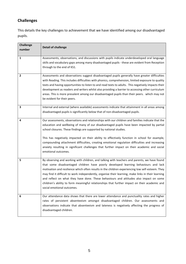# **Challenges**

This details the key challenges to achievement that we have identified among our disadvantaged pupils.

| <b>Challenge</b><br>number | <b>Detail of challenge</b>                                                                                                                                                                                                                                                                                                                                                                                                                                                                                                                                                                                             |
|----------------------------|------------------------------------------------------------------------------------------------------------------------------------------------------------------------------------------------------------------------------------------------------------------------------------------------------------------------------------------------------------------------------------------------------------------------------------------------------------------------------------------------------------------------------------------------------------------------------------------------------------------------|
| $\mathbf{1}$               | Assessments, observations, and discussions with pupils indicate underdeveloped oral language<br>skills and vocabulary gaps among many disadvantaged pupils - these are evident from Reception<br>through to the end of KS1.                                                                                                                                                                                                                                                                                                                                                                                            |
| $\overline{2}$             | Assessments and observations suggest disadvantaged pupils generally have greater difficulties<br>with Reading. This includes difficulties with phonics, comprehension, limited exposure to quality<br>texts and having opportunities to listen to and read texts to adults. This negatively impacts their<br>development as readers and writers whilst also providing a barrier to accessing other curriculum<br>areas. This is more prevalent among our disadvantaged pupils than their peers. which may not<br>be evident for their peers.                                                                           |
| 3                          | Internal and external (where available) assessments indicate that attainment in all areas among<br>disadvantaged pupils is significantly below that of non-disadvantaged pupils.                                                                                                                                                                                                                                                                                                                                                                                                                                       |
| 4                          | Our assessments, observations and relationships with our children and families indicate that the<br>education and wellbeing of many of our disadvantaged pupils have been impacted by partial<br>school closures. These findings are supported by national studies.<br>This has negatively impacted on their ability to effectively function in school for example,<br>compounding attachment difficulties, creating emotional regulation difficulties and increasing<br>anxiety resulting in significant challenges that further impact on their academic and social<br>emotional outcomes.                           |
| 5                          | By observing and working with children, and talking with teachers and parents, we have found<br>that some disadvantaged children have poorly developed learning behaviours and lack<br>motivation and resilience which often results in the children experiencing low self-esteem. They<br>may find it difficult to work independently, organise their learning, make links in their learning<br>and reflect on what they have done. These behaviours and attitudes also impact on some<br>children's ability to form meaningful relationships that further impact on their academic and<br>social emotional outcomes. |
| 6                          | Our attendance data shows that there are lower attendance and punctuality rates and higher<br>rates of persistent absenteeism amongst disadvantaged children. Our assessments and<br>observations indicate that absenteeism and lateness is negatively affecting the progress of<br>disadvantaged children.                                                                                                                                                                                                                                                                                                            |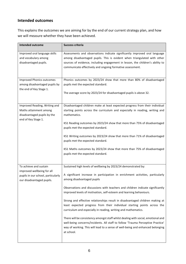## **Intended outcomes**

This explains the outcomes we are aiming for by the end of our current strategy plan, and how we will measure whether they have been achieved.

| Intended outcome                                                                                              | Success criteria                                                                                                                                                                                                                                                                                      |
|---------------------------------------------------------------------------------------------------------------|-------------------------------------------------------------------------------------------------------------------------------------------------------------------------------------------------------------------------------------------------------------------------------------------------------|
| Improved oral language skills<br>and vocabulary among<br>disadvantaged pupils.                                | Assessments and observations indicate significantly improved oral language<br>among disadvantaged pupils. This is evident when triangulated with other<br>sources of evidence, including engagement in lesson, the children's ability to<br>communicate effectively and ongoing formative assessment. |
| <b>Improved Phonics outcomes</b><br>among disadvantaged pupils by<br>the end of Key Stage 1.                  | Phonics outcomes by 2023/24 show that more than 80% of disadvantaged<br>pupils met the expected standard.<br>The average score by 2023/24 for disadvantaged pupils is above 32.                                                                                                                       |
| Improved Reading, Writing and<br>Maths attainment among<br>disadvantaged pupils by the<br>end of Key Stage 1. | Disadvantaged children make at least expected progress from their individual<br>starting points across the curriculum and especially in reading, writing and<br>mathematics.                                                                                                                          |
|                                                                                                               | KS1 Reading outcomes by 2023/24 show that more than 75% of disadvantaged<br>pupils met the expected standard.                                                                                                                                                                                         |
|                                                                                                               | KS1 Writing outcomes by 2023/24 show that more than 71% of disadvantaged<br>pupils met the expected standard.                                                                                                                                                                                         |
|                                                                                                               | KS1 Maths outcomes by 2023/24 show that more than 75% of disadvantaged<br>pupils met the expected standard.                                                                                                                                                                                           |
| To achieve and sustain                                                                                        | Sustained high levels of wellbeing by 2023/24 demonstrated by:                                                                                                                                                                                                                                        |
| improved wellbeing for all<br>pupils in our school, particularly<br>our disadvantaged pupils.                 | A significant increase in participation in enrichment activities, particularly<br>among disadvantaged pupils                                                                                                                                                                                          |
|                                                                                                               | Observations and discussions with teachers and children indicate significantly<br>improved levels of motivation, self-esteem and learning behaviours.                                                                                                                                                 |
|                                                                                                               | Strong and effective relationships result in disadvantaged children making at<br>least expected progress from their individual starting points across the<br>curriculum and especially in reading, writing and mathematics.                                                                           |
|                                                                                                               | There will be consistency amongst staff whilst dealing with social, emotional and<br>well-being concerns/incidents. All staff to follow 'Trauma Perceptive Practice'<br>way of working. This will lead to a sense of well-being and enhanced belonging<br>at school.                                  |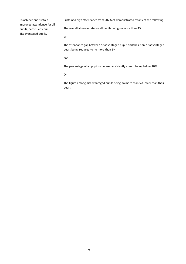| To achieve and sustain      | Sustained high attendance from 2023/24 demonstrated by any of the following:                                           |
|-----------------------------|------------------------------------------------------------------------------------------------------------------------|
| improved attendance for all |                                                                                                                        |
| pupils, particularly our    | The overall absence rate for all pupils being no more than 4%.                                                         |
| disadvantaged pupils.       |                                                                                                                        |
|                             | or                                                                                                                     |
|                             | The attendance gap between disadvantaged pupils and their non-disadvantaged<br>peers being reduced to no more than 1%. |
|                             | and                                                                                                                    |
|                             | The percentage of all pupils who are persistently absent being below 10%                                               |
|                             | 0r                                                                                                                     |
|                             | The figure among disadvantaged pupils being no more than 5% lower than their<br>peers.                                 |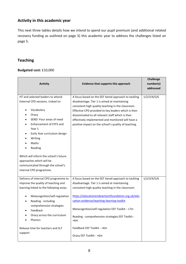## **Activity in this academic year**

This next three tables details how we intend to spend our pupil premium (and additional related recovery funding as outlined on page 3) this academic year to address the challenges listed on page 5.

## **Teaching**

#### **Budgeted cost:** £10,000

| <b>Activity</b>                           | Evidence that supports this approach                    | <b>Challenge</b><br>number(s) |
|-------------------------------------------|---------------------------------------------------------|-------------------------------|
|                                           |                                                         | addressed                     |
| HT and selected leaders to attend         | A focus based on the EEF tiered approach to tackling    | 1/2/3/4/5/6                   |
| External CPD sessions. Linked to:         | disadvantage. Tier 1 is aimed at maintaining            |                               |
|                                           | consistent high quality teaching in the classroom.      |                               |
| Vocabulary                                | Effective CPD provided to key leaders which is then     |                               |
| Oracy                                     | disseminated to all relevant staff which is then        |                               |
| SEND -Four areas of need                  | effectively implemented and monitored will have a       |                               |
| Enhancement of EYFS and                   | positive impact on the school's quality of teaching.    |                               |
| Year 1                                    |                                                         |                               |
| Early Year curriculum design<br>$\bullet$ |                                                         |                               |
| Writing                                   |                                                         |                               |
| Maths                                     |                                                         |                               |
| Reading                                   |                                                         |                               |
| Which will inform the school's future     |                                                         |                               |
| approaches which will be                  |                                                         |                               |
| communicated through the school's         |                                                         |                               |
| internal CPD programme.                   |                                                         |                               |
| Delivery of internal CPD programme to     | A focus based on the EEF tiered approach to tackling    | 1/2/3/4/5/6                   |
| improve the quality of teaching and       | disadvantage. Tier 1 is aimed at maintaining            |                               |
| learning linked to the following areas.   | consistent high quality teaching in the classroom.      |                               |
| Metacognition/self-regulation             | https://educationendowmentfoundation.org.uk/edu         |                               |
| Reading - including<br>٠                  | cation-evidence/teaching-learning-toolkit               |                               |
| comprehension strategies                  |                                                         |                               |
| Feedback                                  | Metacognition/self-regulation EEF Toolkit - +7m         |                               |
| Oracy across the curriculum<br>Phonics    | Reading - comprehension strategies EEF Toolkit .<br>+6m |                               |
| Release time for teachers and SLT         | Feedback EEF Toolkit - +6m                              |                               |
| support.                                  | Oracy EEF Toolkit - +6m                                 |                               |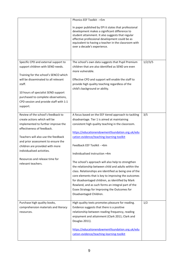|                                                                           | Phonics EEF Toolkit - +5m                                                                                                                                                                                                                                                                            |         |
|---------------------------------------------------------------------------|------------------------------------------------------------------------------------------------------------------------------------------------------------------------------------------------------------------------------------------------------------------------------------------------------|---------|
|                                                                           | In paper published by EPI it states that professional<br>development makes a significant difference to<br>student attainment. It also suggests that regular<br>effective professional development could be as<br>equivalent to having a teacher in the classroom with<br>over a decade's experience. |         |
|                                                                           |                                                                                                                                                                                                                                                                                                      |         |
| Specific CPD and external support to                                      | The school's own data suggests that Pupil Premium                                                                                                                                                                                                                                                    | 1/2/3/5 |
| support children with SEND needs.                                         | children that are also identified as SEND are even                                                                                                                                                                                                                                                   |         |
| Training for the school's SENCO which                                     | more vulnerable.                                                                                                                                                                                                                                                                                     |         |
| will be disseminated to all relevant                                      | Effective CPD and support will enable the staff to                                                                                                                                                                                                                                                   |         |
| staff.                                                                    | provide high quality teaching regardless of the                                                                                                                                                                                                                                                      |         |
|                                                                           | child's background or ability.                                                                                                                                                                                                                                                                       |         |
| 10 hours of specialist SEND support                                       |                                                                                                                                                                                                                                                                                                      |         |
| purchased to complete observations,                                       |                                                                                                                                                                                                                                                                                                      |         |
| CPD session and provide staff with 1:1                                    |                                                                                                                                                                                                                                                                                                      |         |
| support.                                                                  |                                                                                                                                                                                                                                                                                                      |         |
| Review of the school's feedback to                                        | A focus based on the EEF tiered approach to tackling                                                                                                                                                                                                                                                 | 3/5     |
| create actions which will be                                              | disadvantage. Tier 1 is aimed at maintaining                                                                                                                                                                                                                                                         |         |
| implemented to further improve the                                        | consistent high quality teaching in the classroom.                                                                                                                                                                                                                                                   |         |
| effectiveness of feedback.                                                |                                                                                                                                                                                                                                                                                                      |         |
|                                                                           | https://educationendowmentfoundation.org.uk/edu                                                                                                                                                                                                                                                      |         |
| Teachers will also use the feedback<br>and prior assessment to ensure the | cation-evidence/teaching-learning-toolkit                                                                                                                                                                                                                                                            |         |
| children are provided with more                                           | Feedback EEF Toolkit - +6m                                                                                                                                                                                                                                                                           |         |
| individualised activities.                                                |                                                                                                                                                                                                                                                                                                      |         |
|                                                                           | Individualised instruction +4m                                                                                                                                                                                                                                                                       |         |
| Resources and release time for                                            | The school's approach will also help to strengthen                                                                                                                                                                                                                                                   |         |
| relevant teachers.                                                        | the relationship between child and adults within the                                                                                                                                                                                                                                                 |         |
|                                                                           | class. Relationships are identified as being one of the                                                                                                                                                                                                                                              |         |
|                                                                           | core elements that is key to improving the outcomes                                                                                                                                                                                                                                                  |         |
|                                                                           | for disadvantaged children, as identified by Mark                                                                                                                                                                                                                                                    |         |
|                                                                           | Rowland, and as such forms an integral part of the                                                                                                                                                                                                                                                   |         |
|                                                                           | Essex Strategy for Improving the Outcomes for                                                                                                                                                                                                                                                        |         |
|                                                                           | Disadvantaged Children.                                                                                                                                                                                                                                                                              |         |
| Purchase high quality books,                                              | High quality texts promotes pleasure for reading.                                                                                                                                                                                                                                                    | 1/2     |
| comprehension materials and literacy                                      | Evidence suggests that there is a positive                                                                                                                                                                                                                                                           |         |
| resources.                                                                | relationship between reading frequency, reading                                                                                                                                                                                                                                                      |         |
|                                                                           | enjoyment and attainment (Clark 2011; Clark and                                                                                                                                                                                                                                                      |         |
|                                                                           | Douglas 2011).                                                                                                                                                                                                                                                                                       |         |
|                                                                           | https://educationendowmentfoundation.org.uk/edu                                                                                                                                                                                                                                                      |         |
|                                                                           | cation-evidence/teaching-learning-toolkit                                                                                                                                                                                                                                                            |         |
|                                                                           |                                                                                                                                                                                                                                                                                                      |         |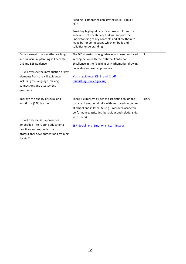|                                                                                                                                                                                                                                                               | Reading - comprehension strategies EEF Toolkit -<br>$+6m$<br>Providing high quality texts exposes children to a<br>wide and rich vocabulary that will support their<br>understanding of key concepts and allow them to<br>make better connections which embeds and<br>solidifies understanding. |       |
|---------------------------------------------------------------------------------------------------------------------------------------------------------------------------------------------------------------------------------------------------------------|-------------------------------------------------------------------------------------------------------------------------------------------------------------------------------------------------------------------------------------------------------------------------------------------------|-------|
| Enhancement of our maths teaching<br>and curriculum planning in line with<br>DfE and EEF guidance.<br>HT will oversee the introduction of key<br>elements from the KS1 guidance<br>including the language, making<br>connections and assessment<br>questions. | The DfE non-statutory guidance has been produced<br>in conjunction with the National Centre for<br>Excellence in the Teaching of Mathematics, drawing<br>on evidence-based approaches:<br>Maths guidance KS 1 and 2.pdf<br>(publishing.service.gov.uk)                                          | 3     |
| Improve the quality of social and<br>emotional (SEL) learning.<br>HT will oversee SEL approaches<br>embedded into routine educational<br>practices and supported by<br>professional development and training<br>for staff.                                    | There is extensive evidence associating childhood<br>social and emotional skills with improved outcomes<br>at school and in later life (e.g., improved academic<br>performance, attitudes, behaviour and relationships<br>with peers):<br><b>EEF Social and Emotional Learning.pdf</b>          | 4/5/6 |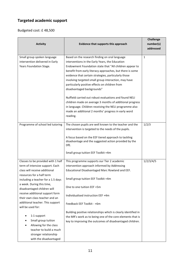# **Targeted academic support**

Budgeted cost: £ 48,500

| <b>Activity</b>                                                                                                                                                                                                                                                                                                                                                                                                                                                                                                   | Evidence that supports this approach                                                                                                                                                                                                                                                                                                                                                                                                                                                                                                                                                                                                                                          | <b>Challenge</b><br>number(s) |
|-------------------------------------------------------------------------------------------------------------------------------------------------------------------------------------------------------------------------------------------------------------------------------------------------------------------------------------------------------------------------------------------------------------------------------------------------------------------------------------------------------------------|-------------------------------------------------------------------------------------------------------------------------------------------------------------------------------------------------------------------------------------------------------------------------------------------------------------------------------------------------------------------------------------------------------------------------------------------------------------------------------------------------------------------------------------------------------------------------------------------------------------------------------------------------------------------------------|-------------------------------|
|                                                                                                                                                                                                                                                                                                                                                                                                                                                                                                                   |                                                                                                                                                                                                                                                                                                                                                                                                                                                                                                                                                                                                                                                                               | addressed                     |
| Small group spoken language<br>intervention delivered in Early<br>Years Foundation Stage.                                                                                                                                                                                                                                                                                                                                                                                                                         | Based on the research finding on oral language<br>interventions in the Early Years, the Education<br>Endowment Foundation state that "All children appear to<br>benefit from early literacy approaches, but there is some<br>evidence that certain strategies, particularly those<br>involving targeted small group interaction, may have<br>particularly positive effects on children from<br>disadvantaged backgrounds"<br>Nuffield carried out robust evaluations and found NELI<br>children made on average 3 months of additional progress<br>in language. Children receiving the NELI programme also<br>made an additional 2 months' progress in early word<br>reading. | $\mathbf{1}$                  |
| Programme of school led tutoring                                                                                                                                                                                                                                                                                                                                                                                                                                                                                  | The chosen pupils are well known to the teacher and the<br>intervention is targeted to the needs of the pupils.<br>A focus based on the EEF tiered approach to tackling<br>disadvantage and the suggested action provided by the<br>DfE.<br>Small group tuition EEF Toolkit +4m                                                                                                                                                                                                                                                                                                                                                                                               | 1/2/3                         |
| Classes to be provided with 1 half<br>term of intensive support. Each<br>class will receive additional<br>resources for a half term<br>including a teacher for a 1.5 days<br>a week. During this time,<br>disadvantaged children will<br>receive additional support form<br>their own class teacher and an<br>additional teacher. This support<br>will be used for:<br>1:1 support<br>Small group tuition<br>Allowing for the class<br>teacher to build a much<br>stronger relationship<br>with the disadvantaged | This programme supports our Tier 2 academic<br>intervention approach informed by Addressing<br>Educational Disadvantaged Marc Rowland and EEF.<br>Small group tuition EEF Toolkit +4m<br>One to one tuition EEF +5m<br>Individualised instruction EEF +4m<br>Feedback EEF Toolkit - +6m<br>Building positive relationships which is clearly identified in<br>the MR's work as to being one of the core elements that is<br>key to improving the outcomes of disadvantaged children.                                                                                                                                                                                           | 1/2/3/4/5                     |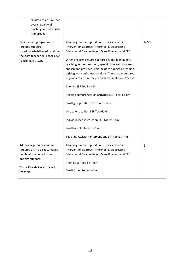| children to ensure that<br>overall quality of<br>teaching for individuals<br>is improved.                                                                      |                                                                                                                                                                                                                                                                                                                                                                                                                                                                                                                                                                                                                                                                                                                                       |                |
|----------------------------------------------------------------------------------------------------------------------------------------------------------------|---------------------------------------------------------------------------------------------------------------------------------------------------------------------------------------------------------------------------------------------------------------------------------------------------------------------------------------------------------------------------------------------------------------------------------------------------------------------------------------------------------------------------------------------------------------------------------------------------------------------------------------------------------------------------------------------------------------------------------------|----------------|
| Personalised programme of<br>targeted support<br>coordinated/delivered by either<br>the class teacher or Higher Level<br><b>Teaching Assistant</b>             | This programme supports our Tier 2 academic<br>intervention approach informed by Addressing<br>Educational Disadvantaged Marc Rowland and EEF.<br>When children require support beyond high quality<br>teaching in the classroom, specific interventions are<br>chosen and provided. This includes a range of reading,<br>writing and maths interventions. These are monitored<br>regularly to ensure they remain relevant and effective.<br>Phonics EEF Toolkit + 5m<br>Reading comprehension activities EEF Toolkit + 6m<br>Small group tuition EEF Toolkit +4m<br>One to one tuition EEF Toolkit +5m<br>Individualised instruction EEF Toolkit +4m<br>Feedback EEF Toolkit +6m<br>Teaching Assistant Interventions EFF Toolkit +4m | 1/2/3          |
| Additional phonics sessions<br>targeted at Yr 2 disadvantaged<br>pupils who require further<br>phonics support.<br>This will be delivered by Yr 2<br>teachers. | This programme supports our Tier 2 academic<br>intervention approach informed by Addressing<br>Educational Disadvantaged Marc Rowland and EEF.<br>Phonics EEF Toolkit - +5m<br>Small Group tuition +4m                                                                                                                                                                                                                                                                                                                                                                                                                                                                                                                                | $\overline{2}$ |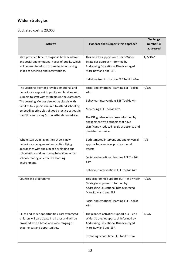# **Wider strategies**

Budgeted cost: £ 23,000

| <b>Activity</b>                                                                                                                                                                                                                                                                                                                                            | Evidence that supports this approach                                                                                                                                                                                                                                           | <b>Challenge</b><br>number(s)<br>addressed |
|------------------------------------------------------------------------------------------------------------------------------------------------------------------------------------------------------------------------------------------------------------------------------------------------------------------------------------------------------------|--------------------------------------------------------------------------------------------------------------------------------------------------------------------------------------------------------------------------------------------------------------------------------|--------------------------------------------|
| Staff provided time to diagnose both academic<br>and social and emotional needs of pupils. Which<br>will be used to inform future decision making<br>linked to teaching and interventions.                                                                                                                                                                 | This activity supports our Tier 3 Wider<br>Strategies approach informed by<br>Addressing Educational Disadvantaged<br>Marc Rowland and EEF.<br>Individualised instruction EEF Toolkit +4m                                                                                      | 1/2/3/4/5                                  |
| The Learning Mentor provides emotional and<br>behavioural support to pupils and families and<br>support to staff with strategies in the classroom.<br>The Learning Mentor also works closely with<br>families to support children to attend school by<br>embedding principles of good practice set out in<br>the DfE's Improving School Attendance advice. | Social and emotional learning EEF Toolkit<br>$+4m$<br>Behaviour interventions EEF Toolkit +4m<br>Mentoring EEF Toolkit +2m<br>The DfE guidance has been informed by<br>engagement with schools that have<br>significantly reduced levels of absence and<br>persistent absence. | 4/5/6                                      |
| Whole staff training on the school's new<br>behaviour management and anti-bullying<br>approaches with the aim of developing our<br>school ethos and improving behaviour across<br>school creating an effective learning<br>environment.                                                                                                                    | Both targeted interventions and universal<br>approaches can have positive overall<br>effects:<br>Social and emotional learning EEF Toolkit<br>$+4m$<br>Behaviour interventions EEF Toolkit +4m                                                                                 | 4/5                                        |
| Counselling programme                                                                                                                                                                                                                                                                                                                                      | This programme supports our Tier 3 Wider<br>Strategies approach informed by<br>Addressing Educational Disadvantaged<br>Marc Rowland and EEF.<br>Social and emotional learning EEF Toolkit<br>$+4m$                                                                             | 4/5/6                                      |
| Clubs and wider opportunities. Disadvantaged<br>children will participate in all trips and will be<br>provided with a broad and wide ranging of<br>experiences and opportunities.                                                                                                                                                                          | The planned activities support our Tier 3<br>Wider Strategies approach informed by<br>Addressing Educational Disadvantaged<br>Marc Rowland and EEF.<br>Extending school time EEF Toolkit +3m                                                                                   | 4/5/6                                      |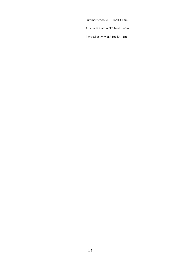| Summer schools EEF Toolkit +3m     |  |
|------------------------------------|--|
| Arts participation EEF Toolkit +3m |  |
| Physical activity EEF Toolkit +1m  |  |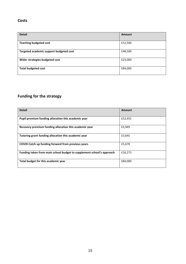### **Costs**

| <b>Detail</b>                           | Amount  |
|-----------------------------------------|---------|
| <b>Teaching budgeted cost</b>           | £12,500 |
| Targeted academic support budgeted cost | £48,500 |
| Wider strategies budgeted cost          | £23,000 |
| <b>Total budgeted cost</b>              | £84,000 |

# **Funding for the strategy**

| <b>Detail</b>                                                         | Amount  |  |
|-----------------------------------------------------------------------|---------|--|
|                                                                       |         |  |
| Pupil premium funding allocation this academic year                   | £52,455 |  |
|                                                                       |         |  |
| Recovery premium funding allocation this academic year                | £5,949  |  |
|                                                                       |         |  |
| Tutoring grant funding allocation this academic year                  | £3,645  |  |
|                                                                       |         |  |
| COVID Catch up funding forward from previous years                    | £5,678  |  |
|                                                                       |         |  |
| Funding taken from main school budget to supplement school's approach | £16,273 |  |
|                                                                       |         |  |
| Total budget for this academic year                                   | £84,000 |  |
|                                                                       |         |  |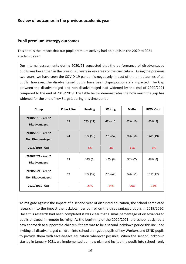### **Review of outcomes in the previous academic year**

#### **Pupil premium strategy outcomes**

This details the impact that our pupil premium activity had on pupils in the 2020 to 2021 academic year.

Our internal assessments during 2020/21 suggested that the performance of disadvantaged pupils was lower than in the previous 3 years in key areas of the curriculum. During the previous two years, we have seen the COVID-19 pandemic negatively impact of the on outcomes of all pupils; however, the disadvantaged pupils have been disproportionately impacted. The Gap between the disadvantaged and non-disadvantaged had widened by the end of 2020/2021 compared to the end of 2018/2019. The table below demonstrates the how much the gap has widened for the end of Key Stage 1 during this time period.

| Group                                          | <b>Cohort Size</b> | <b>Reading</b> | <b>Writing</b> | <b>Maths</b> | <b>RWM Com</b> |
|------------------------------------------------|--------------------|----------------|----------------|--------------|----------------|
| 2018/2019 - Year 2<br><b>Disadvantaged</b>     | 15                 | 73% (11)       | 67% (10)       | 67% (10)     | $60\%$ (9)     |
| 2018/2019 - Year 2<br><b>Non Disadvantaged</b> | 74                 | 78% (58)       | 70% (52)       | 78% (58)     | 66% (49)       |
| 2018/2019 - Gap                                |                    | $-5%$          | $-3%$          | $-11%$       | $-6%$          |
| 2020/2021 - Year 2<br><b>Disadvantaged</b>     | 13                 | 46% (6)        | 46% (6)        | 54% (7)      | 46% (6)        |
| 2020/2021 - Year 2<br><b>Non Disadvantaged</b> | 69                 | 75% (52)       | 70% (48)       | 74% (51)     | 61% (42)       |
| 2020/2021 - Gap                                |                    | $-29%$         | $-24%$         | $-20%$       | $-15%$         |

To mitigate against the impact of a second year of disrupted education, the school completed research into the impact the lockdown period had on the disadvantaged pupils in 2019/2020. Once this research had been completed it was clear that a small percentage of disadvantaged pupils engaged in remote learning. At the beginning of the 2020/2021, the school designed a new approach to support the children if there was to be a second lockdown period this included inviting all disadvantaged children into school alongside pupils of Key Workers and SEND pupils to provide them with face-to-face education wherever possible. When the second lockdown started in January 2021, we implemented our new plan and invited the pupils into school - only